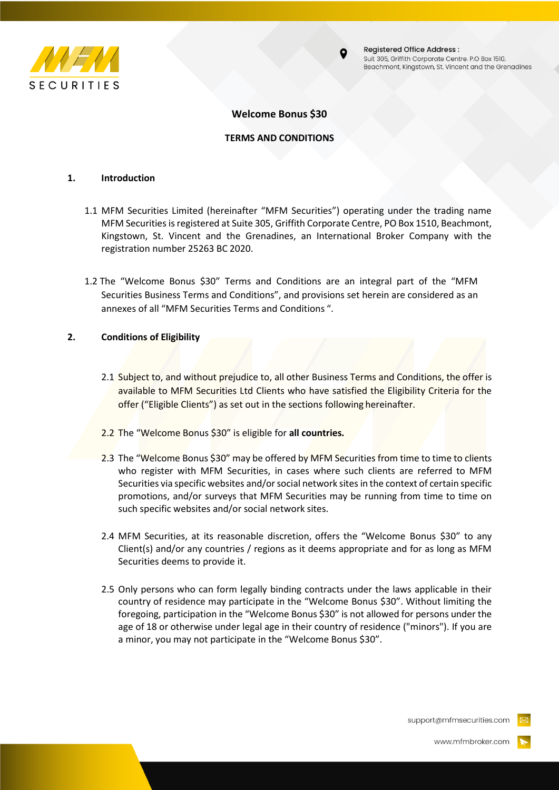



**Registered Office Address:** Suit 305, Griffith Corporate Centre. P.O Box 1510. Beachmont, Kingstown, St. Vincent and the Grenadines

# **Welcome Bonus \$30**

## **TERMS AND CONDITIONS**

#### **1. Introduction**

- 1.1 MFM Securities Limited (hereinafter "MFM Securities") operating under the trading name MFM Securities isregistered at Suite 305, Griffith Corporate Centre, PO Box 1510, Beachmont, Kingstown, St. Vincent and the Grenadines, an International Broker Company with the registration number 25263 BC 2020.
- 1.2 The "Welcome Bonus \$30" Terms and Conditions are an integral part of the "MFM Securities Business Terms and Conditions", and provisions set herein are considered as an annexes of all "MFM Securities Terms and Conditions ".

### **2. Conditions of Eligibility**

- 2.1 Subject to, and without prejudice to, all other Business Terms and Conditions, the offer is available to MFM Securities Ltd Clients who have satisfied the Eligibility Criteria for the offer ("Eligible Clients") as set out in the sections following hereinafter.
- 2.2 The "Welcome Bonus \$30" is eligible for **all countries.**
- 2.3 The "Welcome Bonus \$30" may be offered by MFM Securities from time to time to clients who register with MFM Securities, in cases where such clients are referred to MFM Securities via specific websites and/or social network sites in the context of certain specific promotions, and/or surveys that MFM Securities may be running from time to time on such specific websites and/or social network sites.
- 2.4 MFM Securities, at its reasonable discretion, offers the "Welcome Bonus \$30" to any Client(s) and/or any countries / regions as it deems appropriate and for as long as MFM Securities deems to provide it.
- 2.5 Only persons who can form legally binding contracts under the laws applicable in their country of residence may participate in the "Welcome Bonus \$30". Without limiting the foregoing, participation in the "Welcome Bonus \$30" is not allowed for persons under the age of 18 or otherwise under legal age in their country of residence ("minors"). If you are a minor, you may not participate in the "Welcome Bonus \$30".

support@mfmsecurities.com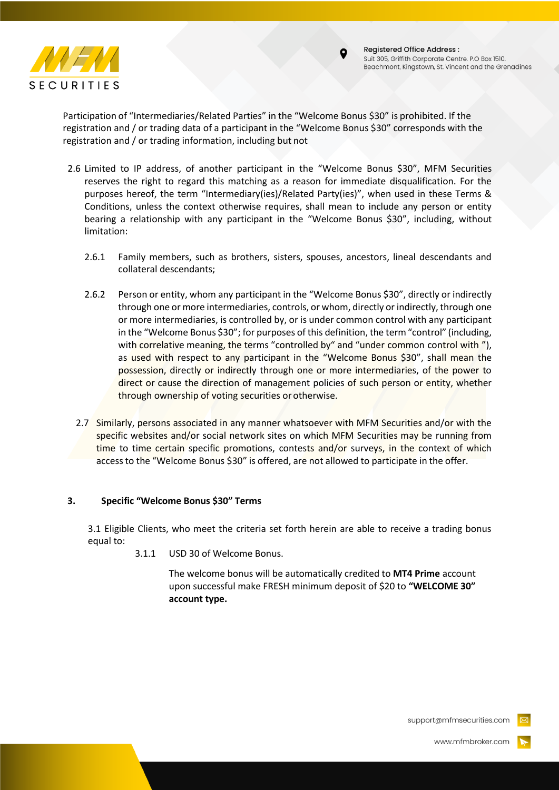



Participation of "Intermediaries/Related Parties" in the "Welcome Bonus \$30" is prohibited. If the registration and / or trading data of a participant in the "Welcome Bonus \$30" corresponds with the registration and / or trading information, including but not

- 2.6 Limited to IP address, of another participant in the "Welcome Bonus \$30", MFM Securities reserves the right to regard this matching as a reason for immediate disqualification. For the purposes hereof, the term "Intermediary(ies)/Related Party(ies)", when used in these Terms & Conditions, unless the context otherwise requires, shall mean to include any person or entity bearing a relationship with any participant in the "Welcome Bonus \$30", including, without limitation:
	- 2.6.1 Family members, such as brothers, sisters, spouses, ancestors, lineal descendants and collateral descendants;
	- 2.6.2 Person or entity, whom any participant in the "Welcome Bonus \$30", directly or indirectly through one or more intermediaries, controls, or whom, directly or indirectly, through one or more intermediaries, is controlled by, or is under common control with any participant in the "Welcome Bonus \$30"; for purposes of this definition, the term"control" (including, with correlative meaning, the terms "controlled by" and "under common control with "), as used with respect to any participant in the "Welcome Bonus \$30", shall mean the possession, directly or indirectly through one or more intermediaries, of the power to direct or cause the direction of management policies of such person or entity, whether through ownership of voting securities orotherwise.
	- 2.7 Similarly, persons associated in any manner whatsoever with MFM Securities and/or with the specific websites and/or social network sites on which MFM Securities may be running from time to time certain specific promotions, contests and/or surveys, in the context of which accessto the "Welcome Bonus \$30" is offered, are not allowed to participate in the offer.

## **3. Specific "Welcome Bonus \$30" Terms**

3.1 Eligible Clients, who meet the criteria set forth herein are able to receive a trading bonus equal to:

3.1.1 USD 30 of Welcome Bonus.

The welcome bonus will be automatically credited to **MT4 Prime** account upon successful make FRESH minimum deposit of \$20 to **"WELCOME 30" account type.**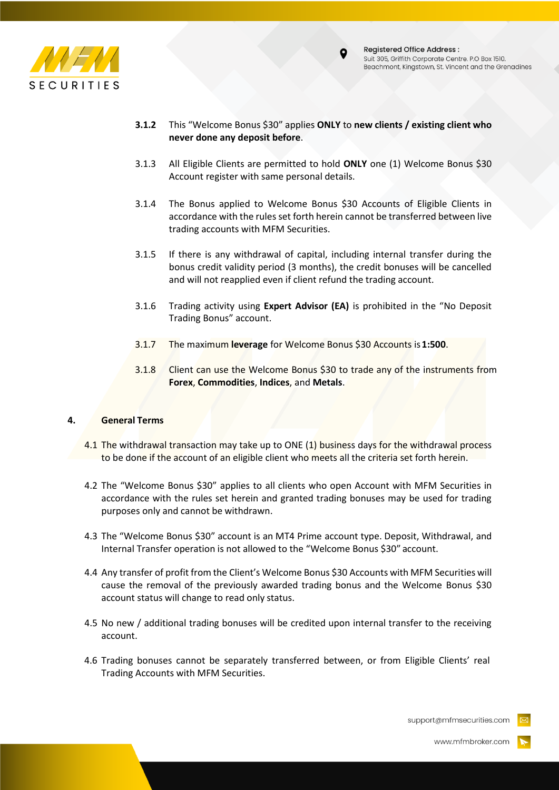



- **3.1.2** This "Welcome Bonus \$30" applies **ONLY** to **new clients / existing client who never done any deposit before**.
- 3.1.3 All Eligible Clients are permitted to hold **ONLY** one (1) Welcome Bonus \$30 Account register with same personal details.
- 3.1.4 The Bonus applied to Welcome Bonus \$30 Accounts of Eligible Clients in accordance with the rules set forth herein cannot be transferred between live trading accounts with MFM Securities.
- 3.1.5 If there is any withdrawal of capital, including internal transfer during the bonus credit validity period (3 months), the credit bonuses will be cancelled and will not reapplied even if client refund the trading account.
- 3.1.6 Trading activity using **Expert Advisor (EA)** is prohibited in the "No Deposit Trading Bonus" account.
- 3.1.7 The maximum **leverage** for Welcome Bonus \$30 Accounts is**1:500**.
- 3.1.8 Client can use the Welcome Bonus \$30 to trade any of the instruments from **Forex**, **Commodities**, **Indices**, and **Metals**.

## **4. General Terms**

- 4.1 The withdrawal transaction may take up to ONE (1) business days for the withdrawal process to be done if the account of an eligible client who meets all the criteria set forth herein.
- 4.2 The "Welcome Bonus \$30" applies to all clients who open Account with MFM Securities in accordance with the rules set herein and granted trading bonuses may be used for trading purposes only and cannot be withdrawn.
- 4.3 The "Welcome Bonus \$30" account is an MT4 Prime account type. Deposit, Withdrawal, and Internal Transfer operation is not allowed to the "Welcome Bonus \$30" account.
- 4.4 Any transfer of profit from the Client's Welcome Bonus \$30 Accounts with MFM Securities will cause the removal of the previously awarded trading bonus and the Welcome Bonus \$30 account status will change to read only status.
- 4.5 No new / additional trading bonuses will be credited upon internal transfer to the receiving account.
- 4.6 Trading bonuses cannot be separately transferred between, or from Eligible Clients' real Trading Accounts with MFM Securities.

support@mfmsecurities.com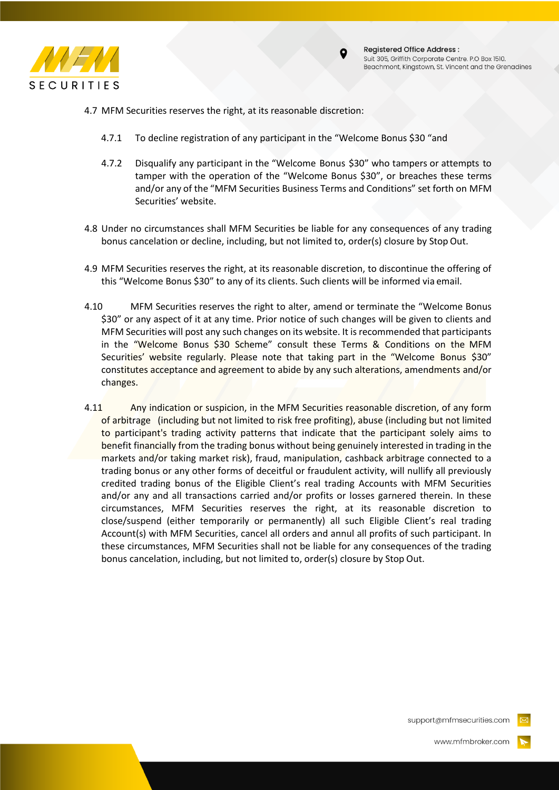



- 4.7 MFM Securities reserves the right, at its reasonable discretion:
	- 4.7.1 To decline registration of any participant in the "Welcome Bonus \$30 "and
	- 4.7.2 Disqualify any participant in the "Welcome Bonus \$30" who tampers or attempts to tamper with the operation of the "Welcome Bonus \$30", or breaches these terms and/or any of the "MFM Securities Business Terms and Conditions" set forth on MFM Securities' website.
- 4.8 Under no circumstances shall MFM Securities be liable for any consequences of any trading bonus cancelation or decline, including, but not limited to, order(s) closure by Stop Out.
- 4.9 MFM Securities reserves the right, at its reasonable discretion, to discontinue the offering of this "Welcome Bonus \$30" to any of its clients. Such clients will be informed via email.
- 4.10 MFM Securities reserves the right to alter, amend or terminate the "Welcome Bonus \$30" or any aspect of it at any time. Prior notice of such changes will be given to clients and MFM Securities will post any such changes on its website. It is recommended that participants in the "Welcome Bonus \$30 Scheme" consult these Terms & Conditions on the MFM Securities' website regularly. Please note that taking part in the "Welcome Bonus \$30" constitutes acceptance and agreement to abide by any such alterations, amendments and/or changes.
- 4.11 Any indication or suspicion, in the MFM Securities reasonable discretion, of any form of arbitrage (including but not limited to risk free profiting), abuse (including but not limited to participant's trading activity patterns that indicate that the participant solely aims to benefit financially from the trading bonus without being genuinely interested in trading in the markets and/or taking market risk), fraud, manipulation, cashback arbitrage connected to a trading bonus or any other forms of deceitful or fraudulent activity, will nullify all previously credited trading bonus of the Eligible Client's real trading Accounts with MFM Securities and/or any and all transactions carried and/or profits or losses garnered therein. In these circumstances, MFM Securities reserves the right, at its reasonable discretion to close/suspend (either temporarily or permanently) all such Eligible Client's real trading Account(s) with MFM Securities, cancel all orders and annul all profits of such participant. In these circumstances, MFM Securities shall not be liable for any consequences of the trading bonus cancelation, including, but not limited to, order(s) closure by Stop Out.